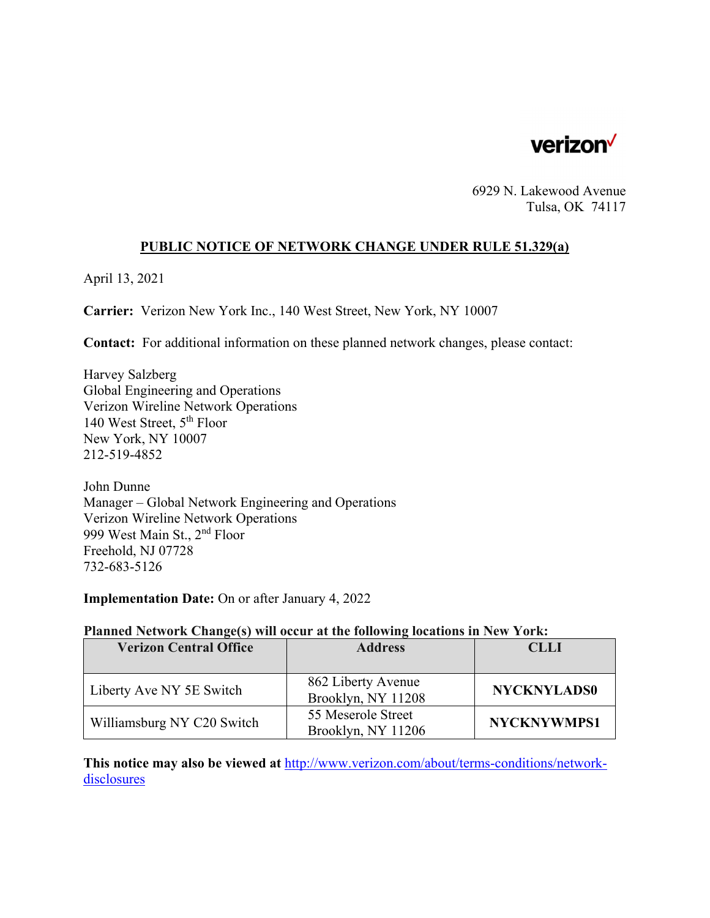

6929 N. Lakewood Avenue Tulsa, OK 74117

### **PUBLIC NOTICE OF NETWORK CHANGE UNDER RULE 51.329(a)**

April 13, 2021

**Carrier:** Verizon New York Inc., 140 West Street, New York, NY 10007

**Contact:** For additional information on these planned network changes, please contact:

Harvey Salzberg Global Engineering and Operations Verizon Wireline Network Operations 140 West Street, 5th Floor New York, NY 10007 212-519-4852

John Dunne Manager – Global Network Engineering and Operations Verizon Wireline Network Operations 999 West Main St., 2nd Floor Freehold, NJ 07728 732-683-5126

**Implementation Date:** On or after January 4, 2022

#### **Planned Network Change(s) will occur at the following locations in New York:**

| <b>Verizon Central Office</b> | <b>Address</b>                           | <b>CLLI</b>        |
|-------------------------------|------------------------------------------|--------------------|
|                               |                                          |                    |
| Liberty Ave NY 5E Switch      | 862 Liberty Avenue<br>Brooklyn, NY 11208 | <b>NYCKNYLADS0</b> |
| Williamsburg NY C20 Switch    | 55 Meserole Street<br>Brooklyn, NY 11206 | <b>NYCKNYWMPS1</b> |

**This notice may also be viewed at** http://www.verizon.com/about/terms-conditions/networkdisclosures